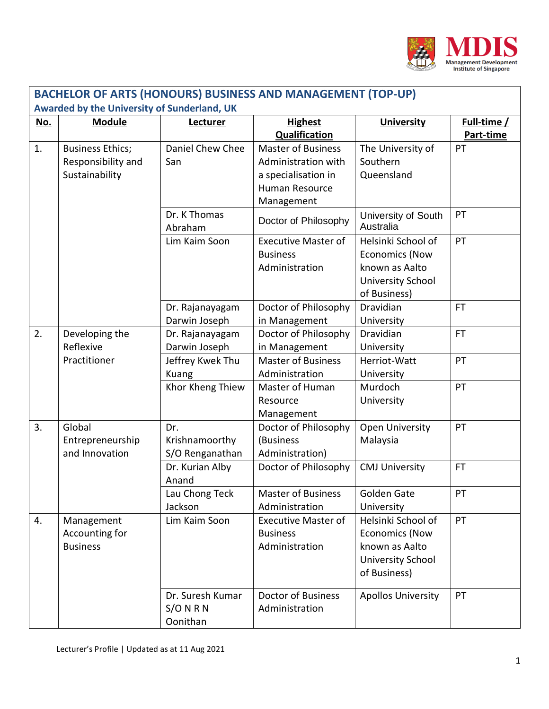

| <b>BACHELOR OF ARTS (HONOURS) BUSINESS AND MANAGEMENT (TOP-UP)</b> |                                                                 |                                             |                                                                                                         |                                                                                                           |                          |  |
|--------------------------------------------------------------------|-----------------------------------------------------------------|---------------------------------------------|---------------------------------------------------------------------------------------------------------|-----------------------------------------------------------------------------------------------------------|--------------------------|--|
| Awarded by the University of Sunderland, UK                        |                                                                 |                                             |                                                                                                         |                                                                                                           |                          |  |
| No.                                                                | <b>Module</b>                                                   | Lecturer                                    | <b>Highest</b><br><b>Qualification</b>                                                                  | <b>University</b>                                                                                         | Full-time /<br>Part-time |  |
| 1.                                                                 | <b>Business Ethics;</b><br>Responsibility and<br>Sustainability | Daniel Chew Chee<br>San                     | <b>Master of Business</b><br>Administration with<br>a specialisation in<br>Human Resource<br>Management | The University of<br>Southern<br>Queensland                                                               | PT                       |  |
|                                                                    |                                                                 | Dr. K Thomas<br>Abraham                     | Doctor of Philosophy                                                                                    | University of South<br>Australia                                                                          | PT                       |  |
|                                                                    |                                                                 | Lim Kaim Soon                               | <b>Executive Master of</b><br><b>Business</b><br>Administration                                         | Helsinki School of<br><b>Economics (Now</b><br>known as Aalto<br>University School<br>of Business)        | PT                       |  |
|                                                                    |                                                                 | Dr. Rajanayagam<br>Darwin Joseph            | Doctor of Philosophy<br>in Management                                                                   | <b>Dravidian</b><br>University                                                                            | <b>FT</b>                |  |
| 2.                                                                 | Developing the<br>Reflexive                                     | Dr. Rajanayagam<br>Darwin Joseph            | Doctor of Philosophy<br>in Management                                                                   | <b>Dravidian</b><br>University                                                                            | FT.                      |  |
|                                                                    | Practitioner                                                    | Jeffrey Kwek Thu<br>Kuang                   | <b>Master of Business</b><br>Administration                                                             | Herriot-Watt<br>University                                                                                | PT                       |  |
|                                                                    |                                                                 | Khor Kheng Thiew                            | Master of Human<br>Resource<br>Management                                                               | Murdoch<br>University                                                                                     | PT                       |  |
| 3.                                                                 | Global<br>Entrepreneurship<br>and Innovation                    | Dr.<br>Krishnamoorthy<br>S/O Renganathan    | Doctor of Philosophy<br>(Business<br>Administration)                                                    | <b>Open University</b><br>Malaysia                                                                        | PT                       |  |
|                                                                    |                                                                 | Dr. Kurian Alby<br>Anand                    | Doctor of Philosophy                                                                                    | <b>CMJ University</b>                                                                                     | <b>FT</b>                |  |
|                                                                    |                                                                 | Lau Chong Teck<br>Jackson                   | <b>Master of Business</b><br>Administration                                                             | Golden Gate<br>University                                                                                 | PT                       |  |
| 4.                                                                 | Management<br>Accounting for<br><b>Business</b>                 | Lim Kaim Soon                               | <b>Executive Master of</b><br><b>Business</b><br>Administration                                         | Helsinki School of<br><b>Economics (Now</b><br>known as Aalto<br><b>University School</b><br>of Business) | PT                       |  |
|                                                                    |                                                                 | Dr. Suresh Kumar<br>$S/O$ N R N<br>Oonithan | <b>Doctor of Business</b><br>Administration                                                             | <b>Apollos University</b>                                                                                 | PT                       |  |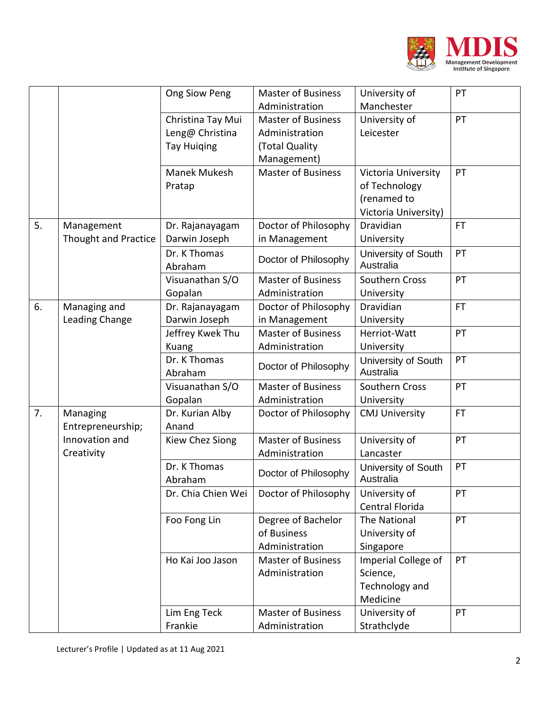

|    |                             | Ong Siow Peng      | <b>Master of Business</b> | University of         | PT        |
|----|-----------------------------|--------------------|---------------------------|-----------------------|-----------|
|    |                             |                    | Administration            | Manchester            |           |
|    |                             | Christina Tay Mui  | <b>Master of Business</b> | University of         | PT        |
|    |                             | Leng@ Christina    | Administration            | Leicester             |           |
|    |                             | <b>Tay Huiging</b> | (Total Quality            |                       |           |
|    |                             |                    | Management)               |                       |           |
|    |                             | Manek Mukesh       | <b>Master of Business</b> | Victoria University   | PT        |
|    |                             | Pratap             |                           | of Technology         |           |
|    |                             |                    |                           | (renamed to           |           |
|    |                             |                    |                           | Victoria University)  |           |
| 5. | Management                  | Dr. Rajanayagam    | Doctor of Philosophy      | Dravidian             | <b>FT</b> |
|    | <b>Thought and Practice</b> | Darwin Joseph      | in Management             | University            |           |
|    |                             | Dr. K Thomas       |                           | University of South   | PT        |
|    |                             | Abraham            | Doctor of Philosophy      | Australia             |           |
|    |                             | Visuanathan S/O    | <b>Master of Business</b> | <b>Southern Cross</b> | PT        |
|    |                             | Gopalan            | Administration            | University            |           |
| 6. | Managing and                | Dr. Rajanayagam    | Doctor of Philosophy      | Dravidian             | <b>FT</b> |
|    | Leading Change              | Darwin Joseph      | in Management             | University            |           |
|    |                             | Jeffrey Kwek Thu   | <b>Master of Business</b> | Herriot-Watt          | PT        |
|    |                             | Kuang              | Administration            | University            |           |
|    |                             | Dr. K Thomas       | Doctor of Philosophy      | University of South   | PT        |
|    |                             | Abraham            |                           | Australia             |           |
|    |                             | Visuanathan S/O    | <b>Master of Business</b> | <b>Southern Cross</b> | PT        |
|    |                             | Gopalan            | Administration            | University            |           |
| 7. | Managing                    | Dr. Kurian Alby    | Doctor of Philosophy      | <b>CMJ University</b> | <b>FT</b> |
|    | Entrepreneurship;           | Anand              |                           |                       |           |
|    | Innovation and              | Kiew Chez Siong    | <b>Master of Business</b> | University of         | PT        |
|    | Creativity                  |                    | Administration            | Lancaster             |           |
|    |                             | Dr. K Thomas       | Doctor of Philosophy      | University of South   | PT        |
|    |                             | Abraham            |                           | Australia             |           |
|    |                             | Dr. Chia Chien Wei | Doctor of Philosophy      | University of         | PT        |
|    |                             |                    |                           | Central Florida       |           |
|    |                             | Foo Fong Lin       | Degree of Bachelor        | <b>The National</b>   | PT        |
|    |                             |                    | of Business               | University of         |           |
|    |                             |                    | Administration            | Singapore             |           |
|    |                             | Ho Kai Joo Jason   | <b>Master of Business</b> | Imperial College of   | PT        |
|    |                             |                    | Administration            | Science,              |           |
|    |                             |                    |                           | Technology and        |           |
|    |                             |                    |                           | Medicine              |           |
|    |                             | Lim Eng Teck       | <b>Master of Business</b> | University of         | PT        |
|    |                             | Frankie            | Administration            | Strathclyde           |           |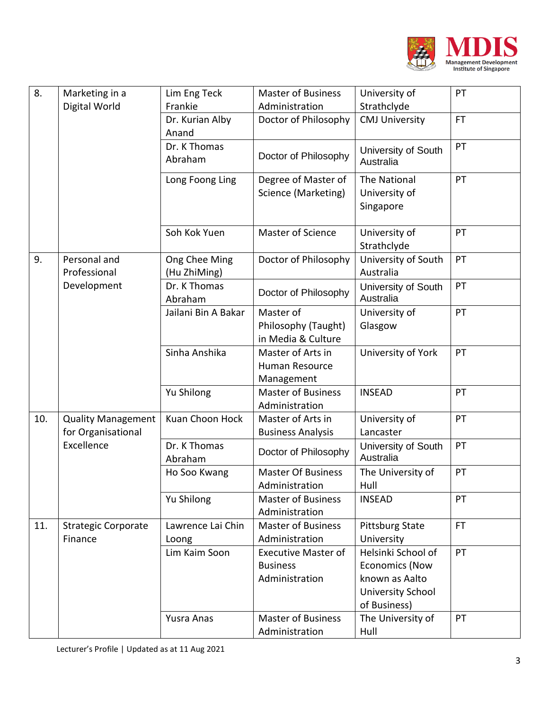

| 8.  | Marketing in a<br>Digital World                               | Lim Eng Teck                  | <b>Master of Business</b>                                       | University of                                                                                      | PT        |
|-----|---------------------------------------------------------------|-------------------------------|-----------------------------------------------------------------|----------------------------------------------------------------------------------------------------|-----------|
|     |                                                               | Frankie                       | Administration                                                  | Strathclyde                                                                                        |           |
|     |                                                               | Dr. Kurian Alby<br>Anand      | Doctor of Philosophy                                            | <b>CMJ University</b>                                                                              | <b>FT</b> |
|     |                                                               | Dr. K Thomas<br>Abraham       | Doctor of Philosophy                                            | University of South<br>Australia                                                                   | PT        |
|     |                                                               | Long Foong Ling               | Degree of Master of<br>Science (Marketing)                      | <b>The National</b><br>University of<br>Singapore                                                  | PT        |
|     |                                                               | Soh Kok Yuen                  | Master of Science                                               | University of<br>Strathclyde                                                                       | PT        |
| 9.  | Personal and<br>Professional<br>Development                   | Ong Chee Ming<br>(Hu ZhiMing) | Doctor of Philosophy                                            | University of South<br>Australia                                                                   | PT        |
|     |                                                               | Dr. K Thomas<br>Abraham       | Doctor of Philosophy                                            | University of South<br>Australia                                                                   | PT        |
|     |                                                               | Jailani Bin A Bakar           | Master of                                                       | University of                                                                                      | PT        |
|     |                                                               |                               | Philosophy (Taught)<br>in Media & Culture                       | Glasgow                                                                                            |           |
|     |                                                               | Sinha Anshika                 | Master of Arts in<br>Human Resource<br>Management               | University of York                                                                                 | PT        |
|     |                                                               | Yu Shilong                    | <b>Master of Business</b><br>Administration                     | <b>INSEAD</b>                                                                                      | PT        |
| 10. | <b>Quality Management</b><br>for Organisational<br>Excellence | Kuan Choon Hock               | Master of Arts in<br><b>Business Analysis</b>                   | University of<br>Lancaster                                                                         | PT        |
|     |                                                               | Dr. K Thomas<br>Abraham       | Doctor of Philosophy                                            | University of South<br>Australia                                                                   | PT        |
|     |                                                               | Ho Soo Kwang                  | <b>Master Of Business</b><br>Administration                     | The University of<br>Hull                                                                          | PT        |
|     |                                                               | Yu Shilong                    | <b>Master of Business</b><br>Administration                     | <b>INSEAD</b>                                                                                      | PT        |
| 11. | <b>Strategic Corporate</b><br>Finance                         | Lawrence Lai Chin<br>Loong    | <b>Master of Business</b><br>Administration                     | <b>Pittsburg State</b><br>University                                                               | <b>FT</b> |
|     |                                                               | Lim Kaim Soon                 | <b>Executive Master of</b><br><b>Business</b><br>Administration | Helsinki School of<br><b>Economics (Now</b><br>known as Aalto<br>University School<br>of Business) | PT        |
|     |                                                               | Yusra Anas                    | <b>Master of Business</b><br>Administration                     | The University of<br>Hull                                                                          | PT        |